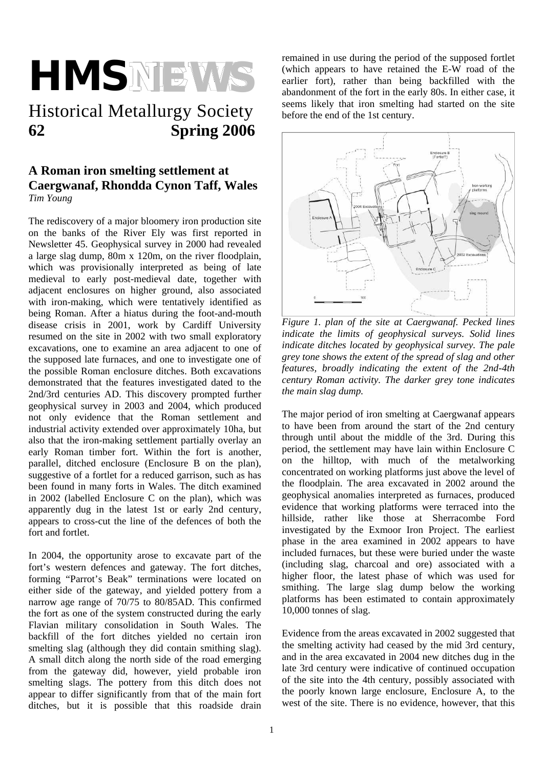# **HMSNEWS**

## Historical Metallurgy Society **62 Spring 2006**

#### **A Roman iron smelting settlement at Caergwanaf, Rhondda Cynon Taff, Wales**  *Tim Young*

The rediscovery of a major bloomery iron production site on the banks of the River Ely was first reported in Newsletter 45. Geophysical survey in 2000 had revealed a large slag dump, 80m x 120m, on the river floodplain, which was provisionally interpreted as being of late medieval to early post-medieval date, together with adjacent enclosures on higher ground, also associated with iron-making, which were tentatively identified as being Roman. After a hiatus during the foot-and-mouth disease crisis in 2001, work by Cardiff University resumed on the site in 2002 with two small exploratory excavations, one to examine an area adjacent to one of the supposed late furnaces, and one to investigate one of the possible Roman enclosure ditches. Both excavations demonstrated that the features investigated dated to the 2nd/3rd centuries AD. This discovery prompted further geophysical survey in 2003 and 2004, which produced not only evidence that the Roman settlement and industrial activity extended over approximately 10ha, but also that the iron-making settlement partially overlay an early Roman timber fort. Within the fort is another, parallel, ditched enclosure (Enclosure B on the plan), suggestive of a fortlet for a reduced garrison, such as has been found in many forts in Wales. The ditch examined in 2002 (labelled Enclosure C on the plan), which was apparently dug in the latest 1st or early 2nd century, appears to cross-cut the line of the defences of both the fort and fortlet.

In 2004, the opportunity arose to excavate part of the fort's western defences and gateway. The fort ditches, forming "Parrot's Beak" terminations were located on either side of the gateway, and yielded pottery from a narrow age range of 70/75 to 80/85AD. This confirmed the fort as one of the system constructed during the early Flavian military consolidation in South Wales. The backfill of the fort ditches yielded no certain iron smelting slag (although they did contain smithing slag). A small ditch along the north side of the road emerging from the gateway did, however, yield probable iron smelting slags. The pottery from this ditch does not appear to differ significantly from that of the main fort ditches, but it is possible that this roadside drain remained in use during the period of the supposed fortlet (which appears to have retained the E-W road of the earlier fort), rather than being backfilled with the abandonment of the fort in the early 80s. In either case, it seems likely that iron smelting had started on the site before the end of the 1st century.



*Figure 1. plan of the site at Caergwanaf. Pecked lines indicate the limits of geophysical surveys. Solid lines indicate ditches located by geophysical survey. The pale grey tone shows the extent of the spread of slag and other features, broadly indicating the extent of the 2nd-4th century Roman activity. The darker grey tone indicates the main slag dump.* 

The major period of iron smelting at Caergwanaf appears to have been from around the start of the 2nd century through until about the middle of the 3rd. During this period, the settlement may have lain within Enclosure C on the hilltop, with much of the metalworking concentrated on working platforms just above the level of the floodplain. The area excavated in 2002 around the geophysical anomalies interpreted as furnaces, produced evidence that working platforms were terraced into the hillside, rather like those at Sherracombe Ford investigated by the Exmoor Iron Project. The earliest phase in the area examined in 2002 appears to have included furnaces, but these were buried under the waste (including slag, charcoal and ore) associated with a higher floor, the latest phase of which was used for smithing. The large slag dump below the working platforms has been estimated to contain approximately 10,000 tonnes of slag.

Evidence from the areas excavated in 2002 suggested that the smelting activity had ceased by the mid 3rd century, and in the area excavated in 2004 new ditches dug in the late 3rd century were indicative of continued occupation of the site into the 4th century, possibly associated with the poorly known large enclosure, Enclosure A, to the west of the site. There is no evidence, however, that this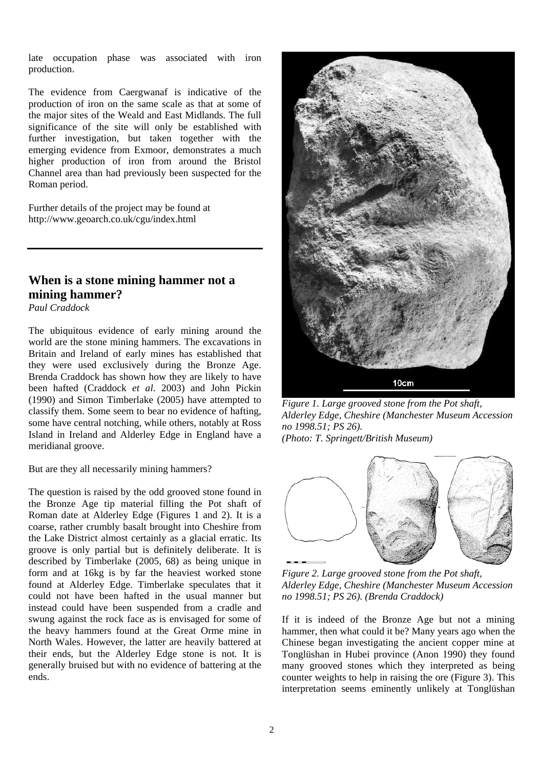late occupation phase was associated with iron production.

The evidence from Caergwanaf is indicative of the production of iron on the same scale as that at some of the major sites of the Weald and East Midlands. The full significance of the site will only be established with further investigation, but taken together with the emerging evidence from Exmoor, demonstrates a much higher production of iron from around the Bristol Channel area than had previously been suspected for the Roman period.

Further details of the project may be found at http://www.geoarch.co.uk/cgu/index.html

#### **When is a stone mining hammer not a mining hammer?**

*Paul Craddock* 

The ubiquitous evidence of early mining around the world are the stone mining hammers. The excavations in Britain and Ireland of early mines has established that they were used exclusively during the Bronze Age. Brenda Craddock has shown how they are likely to have been hafted (Craddock *et al*. 2003) and John Pickin (1990) and Simon Timberlake (2005) have attempted to classify them. Some seem to bear no evidence of hafting, some have central notching, while others, notably at Ross Island in Ireland and Alderley Edge in England have a meridianal groove.

But are they all necessarily mining hammers?

The question is raised by the odd grooved stone found in the Bronze Age tip material filling the Pot shaft of Roman date at Alderley Edge (Figures 1 and 2). It is a coarse, rather crumbly basalt brought into Cheshire from the Lake District almost certainly as a glacial erratic. Its groove is only partial but is definitely deliberate. It is described by Timberlake (2005, 68) as being unique in form and at 16kg is by far the heaviest worked stone found at Alderley Edge. Timberlake speculates that it could not have been hafted in the usual manner but instead could have been suspended from a cradle and swung against the rock face as is envisaged for some of the heavy hammers found at the Great Orme mine in North Wales. However, the latter are heavily battered at their ends, but the Alderley Edge stone is not. It is generally bruised but with no evidence of battering at the ends.



*Figure 1. Large grooved stone from the Pot shaft, Alderley Edge, Cheshire (Manchester Museum Accession no 1998.51; PS 26). (Photo: T. Springett/British Museum)* 

*Figure 2. Large grooved stone from the Pot shaft, Alderley Edge, Cheshire (Manchester Museum Accession no 1998.51; PS 26). (Brenda Craddock)* 

If it is indeed of the Bronze Age but not a mining hammer, then what could it be? Many years ago when the Chinese began investigating the ancient copper mine at Tonglüshan in Hubei province (Anon 1990) they found many grooved stones which they interpreted as being counter weights to help in raising the ore (Figure 3). This interpretation seems eminently unlikely at Tonglüshan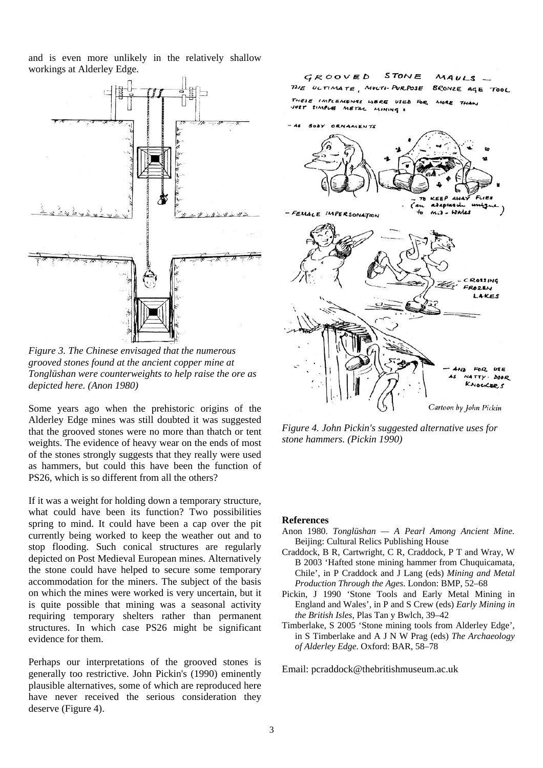and is even more unlikely in the relatively shallow workings at Alderley Edge.



*Figure 3. The Chinese envisaged that the numerous grooved stones found at the ancient copper mine at Tonglüshan were counterweights to help raise the ore as depicted here. (Anon 1980)*

Some years ago when the prehistoric origins of the Alderley Edge mines was still doubted it was suggested that the grooved stones were no more than thatch or tent weights. The evidence of heavy wear on the ends of most of the stones strongly suggests that they really were used as hammers, but could this have been the function of PS26, which is so different from all the others?

If it was a weight for holding down a temporary structure, what could have been its function? Two possibilities spring to mind. It could have been a cap over the pit currently being worked to keep the weather out and to stop flooding. Such conical structures are regularly depicted on Post Medieval European mines. Alternatively the stone could have helped to secure some temporary accommodation for the miners. The subject of the basis on which the mines were worked is very uncertain, but it is quite possible that mining was a seasonal activity requiring temporary shelters rather than permanent structures. In which case PS26 might be significant evidence for them.

Perhaps our interpretations of the grooved stones is generally too restrictive. John Pickin's (1990) eminently plausible alternatives, some of which are reproduced here have never received the serious consideration they deserve (Figure 4).



*Figure 4. John Pickin's suggested alternative uses for stone hammers. (Pickin 1990)* 

#### **References**

- Anon 1980. *Tonglüshan A Pearl Among Ancient Mine.* Beijing: Cultural Relics Publishing House
- Craddock, B R, Cartwright, C R, Craddock, P T and Wray, W B 2003 'Hafted stone mining hammer from Chuquicamata, Chile', in P Craddock and J Lang (eds) *Mining and Metal Production Through the Ages*. London: BMP, 52–68
- Pickin, J 1990 'Stone Tools and Early Metal Mining in England and Wales', in P and S Crew (eds) *Early Mining in the British Isles*, Plas Tan y Bwlch, 39–42
- Timberlake, S 2005 'Stone mining tools from Alderley Edge', in S Timberlake and A J N W Prag (eds) *The Archaeology of Alderley Edge*. Oxford: BAR, 58–78

Email: pcraddock@thebritishmuseum.ac.uk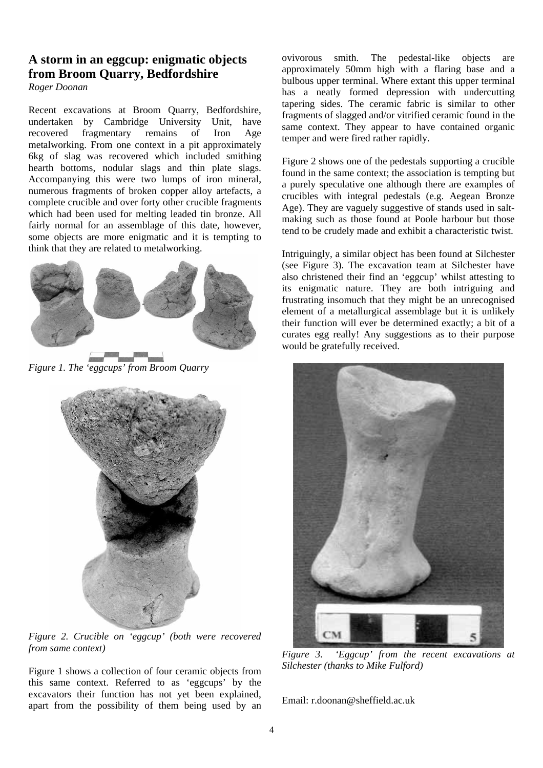## **A storm in an eggcup: enigmatic objects from Broom Quarry, Bedfordshire**

*Roger Doonan* 

Recent excavations at Broom Quarry, Bedfordshire, undertaken by Cambridge University Unit, have recovered fragmentary remains of Iron Age metalworking. From one context in a pit approximately 6kg of slag was recovered which included smithing hearth bottoms, nodular slags and thin plate slags. Accompanying this were two lumps of iron mineral, numerous fragments of broken copper alloy artefacts, a complete crucible and over forty other crucible fragments which had been used for melting leaded tin bronze. All fairly normal for an assemblage of this date, however, some objects are more enigmatic and it is tempting to think that they are related to metalworking.



*Figure 1. The 'eggcups' from Broom Quarry* 



*Figure 2. Crucible on 'eggcup' (both were recovered from same context)* 

Figure 1 shows a collection of four ceramic objects from this same context. Referred to as 'eggcups' by the excavators their function has not yet been explained, apart from the possibility of them being used by an ovivorous smith. The pedestal-like objects are approximately 50mm high with a flaring base and a bulbous upper terminal. Where extant this upper terminal has a neatly formed depression with undercutting tapering sides. The ceramic fabric is similar to other fragments of slagged and/or vitrified ceramic found in the same context. They appear to have contained organic temper and were fired rather rapidly.

Figure 2 shows one of the pedestals supporting a crucible found in the same context; the association is tempting but a purely speculative one although there are examples of crucibles with integral pedestals (e.g. Aegean Bronze Age). They are vaguely suggestive of stands used in saltmaking such as those found at Poole harbour but those tend to be crudely made and exhibit a characteristic twist.

Intriguingly, a similar object has been found at Silchester (see Figure 3). The excavation team at Silchester have also christened their find an 'eggcup' whilst attesting to its enigmatic nature. They are both intriguing and frustrating insomuch that they might be an unrecognised element of a metallurgical assemblage but it is unlikely their function will ever be determined exactly; a bit of a curates egg really! Any suggestions as to their purpose would be gratefully received.



*Figure 3. 'Eggcup' from the recent excavations at Silchester (thanks to Mike Fulford)* 

Email: r.doonan@sheffield.ac.uk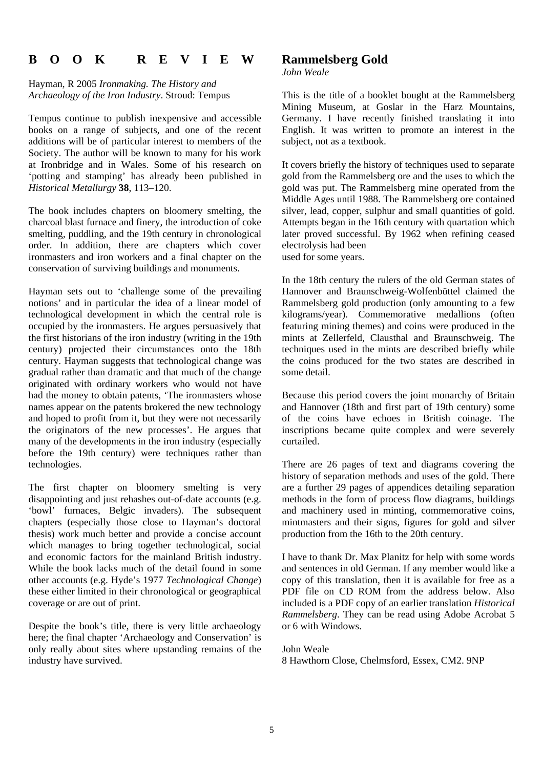## **B O O K R E V I E W**

Hayman, R 2005 *Ironmaking. The History and Archaeology of the Iron Industry*. Stroud: Tempus

Tempus continue to publish inexpensive and accessible books on a range of subjects, and one of the recent additions will be of particular interest to members of the Society. The author will be known to many for his work at Ironbridge and in Wales. Some of his research on 'potting and stamping' has already been published in *Historical Metallurgy* **38**, 113–120.

The book includes chapters on bloomery smelting, the charcoal blast furnace and finery, the introduction of coke smelting, puddling, and the 19th century in chronological order. In addition, there are chapters which cover ironmasters and iron workers and a final chapter on the conservation of surviving buildings and monuments.

Hayman sets out to 'challenge some of the prevailing notions' and in particular the idea of a linear model of technological development in which the central role is occupied by the ironmasters. He argues persuasively that the first historians of the iron industry (writing in the 19th century) projected their circumstances onto the 18th century. Hayman suggests that technological change was gradual rather than dramatic and that much of the change originated with ordinary workers who would not have had the money to obtain patents, 'The ironmasters whose names appear on the patents brokered the new technology and hoped to profit from it, but they were not necessarily the originators of the new processes'. He argues that many of the developments in the iron industry (especially before the 19th century) were techniques rather than technologies.

The first chapter on bloomery smelting is very disappointing and just rehashes out-of-date accounts (e.g. 'bowl' furnaces, Belgic invaders). The subsequent chapters (especially those close to Hayman's doctoral thesis) work much better and provide a concise account which manages to bring together technological, social and economic factors for the mainland British industry. While the book lacks much of the detail found in some other accounts (e.g. Hyde's 1977 *Technological Change*) these either limited in their chronological or geographical coverage or are out of print.

Despite the book's title, there is very little archaeology here; the final chapter 'Archaeology and Conservation' is only really about sites where upstanding remains of the industry have survived.

#### **Rammelsberg Gold**

*John Weale* 

This is the title of a booklet bought at the Rammelsberg Mining Museum, at Goslar in the Harz Mountains, Germany. I have recently finished translating it into English. It was written to promote an interest in the subject, not as a textbook.

It covers briefly the history of techniques used to separate gold from the Rammelsberg ore and the uses to which the gold was put. The Rammelsberg mine operated from the Middle Ages until 1988. The Rammelsberg ore contained silver, lead, copper, sulphur and small quantities of gold. Attempts began in the 16th century with quartation which later proved successful. By 1962 when refining ceased electrolysis had been used for some years.

In the 18th century the rulers of the old German states of Hannover and Braunschweig-Wolfenbüttel claimed the Rammelsberg gold production (only amounting to a few kilograms/year). Commemorative medallions (often featuring mining themes) and coins were produced in the mints at Zellerfeld, Clausthal and Braunschweig. The techniques used in the mints are described briefly while the coins produced for the two states are described in some detail.

Because this period covers the joint monarchy of Britain and Hannover (18th and first part of 19th century) some of the coins have echoes in British coinage. The inscriptions became quite complex and were severely curtailed.

There are 26 pages of text and diagrams covering the history of separation methods and uses of the gold. There are a further 29 pages of appendices detailing separation methods in the form of process flow diagrams, buildings and machinery used in minting, commemorative coins, mintmasters and their signs, figures for gold and silver production from the 16th to the 20th century.

I have to thank Dr. Max Planitz for help with some words and sentences in old German. If any member would like a copy of this translation, then it is available for free as a PDF file on CD ROM from the address below. Also included is a PDF copy of an earlier translation *Historical Rammelsberg*. They can be read using Adobe Acrobat 5 or 6 with Windows.

John Weale 8 Hawthorn Close, Chelmsford, Essex, CM2. 9NP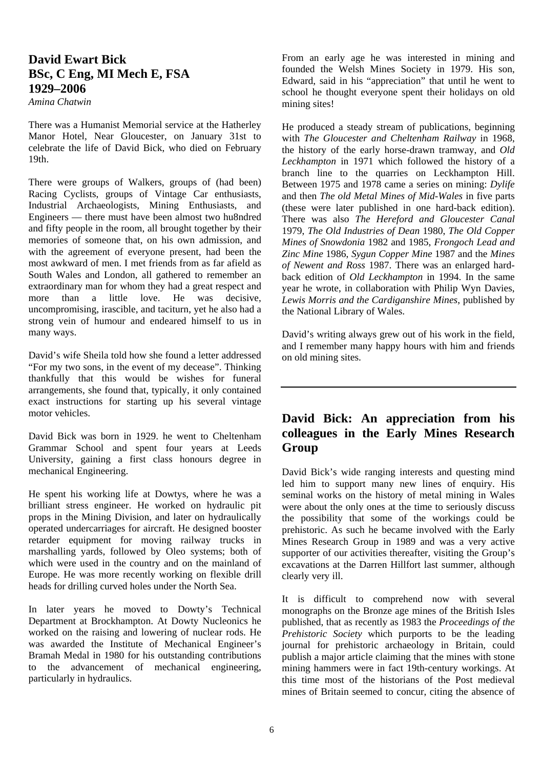#### **David Ewart Bick BSc, C Eng, MI Mech E, FSA 1929–2006**

*Amina Chatwin* 

There was a Humanist Memorial service at the Hatherley Manor Hotel, Near Gloucester, on January 31st to celebrate the life of David Bick, who died on February 19th.

There were groups of Walkers, groups of (had been) Racing Cyclists, groups of Vintage Car enthusiasts, Industrial Archaeologists, Mining Enthusiasts, and Engineers — there must have been almost two hu8ndred and fifty people in the room, all brought together by their memories of someone that, on his own admission, and with the agreement of everyone present, had been the most awkward of men. I met friends from as far afield as South Wales and London, all gathered to remember an extraordinary man for whom they had a great respect and more than a little love. He was decisive, uncompromising, irascible, and taciturn, yet he also had a strong vein of humour and endeared himself to us in many ways.

David's wife Sheila told how she found a letter addressed "For my two sons, in the event of my decease". Thinking thankfully that this would be wishes for funeral arrangements, she found that, typically, it only contained exact instructions for starting up his several vintage motor vehicles.

David Bick was born in 1929. he went to Cheltenham Grammar School and spent four years at Leeds University, gaining a first class honours degree in mechanical Engineering.

He spent his working life at Dowtys, where he was a brilliant stress engineer. He worked on hydraulic pit props in the Mining Division, and later on hydraulically operated undercarriages for aircraft. He designed booster retarder equipment for moving railway trucks in marshalling yards, followed by Oleo systems; both of which were used in the country and on the mainland of Europe. He was more recently working on flexible drill heads for drilling curved holes under the North Sea.

In later years he moved to Dowty's Technical Department at Brockhampton. At Dowty Nucleonics he worked on the raising and lowering of nuclear rods. He was awarded the Institute of Mechanical Engineer's Bramah Medal in 1980 for his outstanding contributions to the advancement of mechanical engineering, particularly in hydraulics.

From an early age he was interested in mining and founded the Welsh Mines Society in 1979. His son, Edward, said in his "appreciation" that until he went to school he thought everyone spent their holidays on old mining sites!

He produced a steady stream of publications, beginning with *The Gloucester and Cheltenham Railway* in 1968, the history of the early horse-drawn tramway, and *Old Leckhampton* in 1971 which followed the history of a branch line to the quarries on Leckhampton Hill. Between 1975 and 1978 came a series on mining: *Dylife* and then *The old Metal Mines of Mid-Wales* in five parts (these were later published in one hard-back edition). There was also *The Hereford and Gloucester Canal* 1979, *The Old Industries of Dean* 1980, *The Old Copper Mines of Snowdonia* 1982 and 1985, *Frongoch Lead and Zinc Mine* 1986, *Sygun Copper Mine* 1987 and the *Mines of Newent and Ross* 1987. There was an enlarged hardback edition of *Old Leckhampton* in 1994. In the same year he wrote, in collaboration with Philip Wyn Davies, *Lewis Morris and the Cardiganshire Mines*, published by the National Library of Wales.

David's writing always grew out of his work in the field, and I remember many happy hours with him and friends on old mining sites.

#### **David Bick: An appreciation from his colleagues in the Early Mines Research Group**

David Bick's wide ranging interests and questing mind led him to support many new lines of enquiry. His seminal works on the history of metal mining in Wales were about the only ones at the time to seriously discuss the possibility that some of the workings could be prehistoric. As such he became involved with the Early Mines Research Group in 1989 and was a very active supporter of our activities thereafter, visiting the Group's excavations at the Darren Hillfort last summer, although clearly very ill.

It is difficult to comprehend now with several monographs on the Bronze age mines of the British Isles published, that as recently as 1983 the *Proceedings of the Prehistoric Society* which purports to be the leading journal for prehistoric archaeology in Britain, could publish a major article claiming that the mines with stone mining hammers were in fact 19th-century workings. At this time most of the historians of the Post medieval mines of Britain seemed to concur, citing the absence of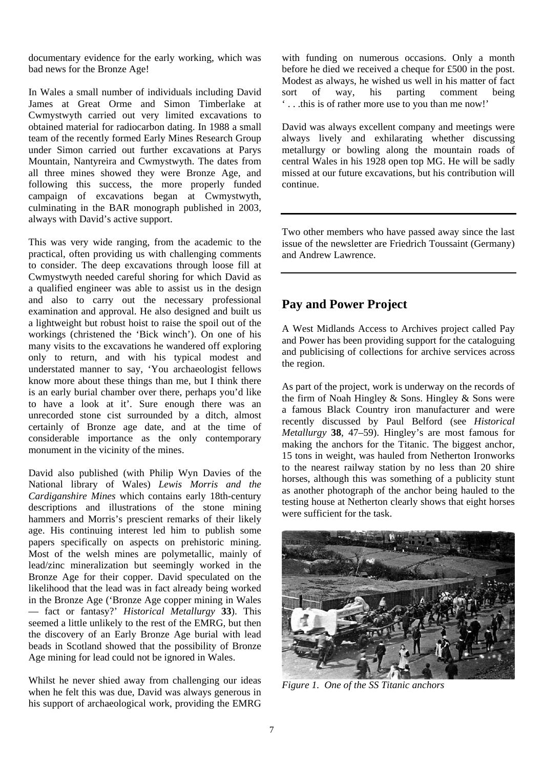documentary evidence for the early working, which was bad news for the Bronze Age!

In Wales a small number of individuals including David James at Great Orme and Simon Timberlake at Cwmystwyth carried out very limited excavations to obtained material for radiocarbon dating. In 1988 a small team of the recently formed Early Mines Research Group under Simon carried out further excavations at Parys Mountain, Nantyreira and Cwmystwyth. The dates from all three mines showed they were Bronze Age, and following this success, the more properly funded campaign of excavations began at Cwmystwyth, culminating in the BAR monograph published in 2003, always with David's active support.

This was very wide ranging, from the academic to the practical, often providing us with challenging comments to consider. The deep excavations through loose fill at Cwmystwyth needed careful shoring for which David as a qualified engineer was able to assist us in the design and also to carry out the necessary professional examination and approval. He also designed and built us a lightweight but robust hoist to raise the spoil out of the workings (christened the 'Bick winch'). On one of his many visits to the excavations he wandered off exploring only to return, and with his typical modest and understated manner to say, 'You archaeologist fellows know more about these things than me, but I think there is an early burial chamber over there, perhaps you'd like to have a look at it'. Sure enough there was an unrecorded stone cist surrounded by a ditch, almost certainly of Bronze age date, and at the time of considerable importance as the only contemporary monument in the vicinity of the mines.

David also published (with Philip Wyn Davies of the National library of Wales) *Lewis Morris and the Cardiganshire Mines* which contains early 18th-century descriptions and illustrations of the stone mining hammers and Morris's prescient remarks of their likely age. His continuing interest led him to publish some papers specifically on aspects on prehistoric mining. Most of the welsh mines are polymetallic, mainly of lead/zinc mineralization but seemingly worked in the Bronze Age for their copper. David speculated on the likelihood that the lead was in fact already being worked in the Bronze Age ('Bronze Age copper mining in Wales — fact or fantasy?' *Historical Metallurgy* **33**). This seemed a little unlikely to the rest of the EMRG, but then the discovery of an Early Bronze Age burial with lead beads in Scotland showed that the possibility of Bronze Age mining for lead could not be ignored in Wales.

Whilst he never shied away from challenging our ideas when he felt this was due, David was always generous in his support of archaeological work, providing the EMRG

with funding on numerous occasions. Only a month before he died we received a cheque for £500 in the post. Modest as always, he wished us well in his matter of fact sort of way, his parting comment being ' . . .this is of rather more use to you than me now!'

David was always excellent company and meetings were always lively and exhilarating whether discussing metallurgy or bowling along the mountain roads of central Wales in his 1928 open top MG. He will be sadly missed at our future excavations, but his contribution will continue.

Two other members who have passed away since the last issue of the newsletter are Friedrich Toussaint (Germany) and Andrew Lawrence.

#### **Pay and Power Project**

A West Midlands Access to Archives project called Pay and Power has been providing support for the cataloguing and publicising of collections for archive services across the region.

As part of the project, work is underway on the records of the firm of Noah Hingley & Sons. Hingley & Sons were a famous Black Country iron manufacturer and were recently discussed by Paul Belford (see *Historical Metallurgy* **38**, 47–59). Hingley's are most famous for making the anchors for the Titanic. The biggest anchor, 15 tons in weight, was hauled from Netherton Ironworks to the nearest railway station by no less than 20 shire horses, although this was something of a publicity stunt as another photograph of the anchor being hauled to the testing house at Netherton clearly shows that eight horses were sufficient for the task.



*Figure 1. One of the SS Titanic anchors*